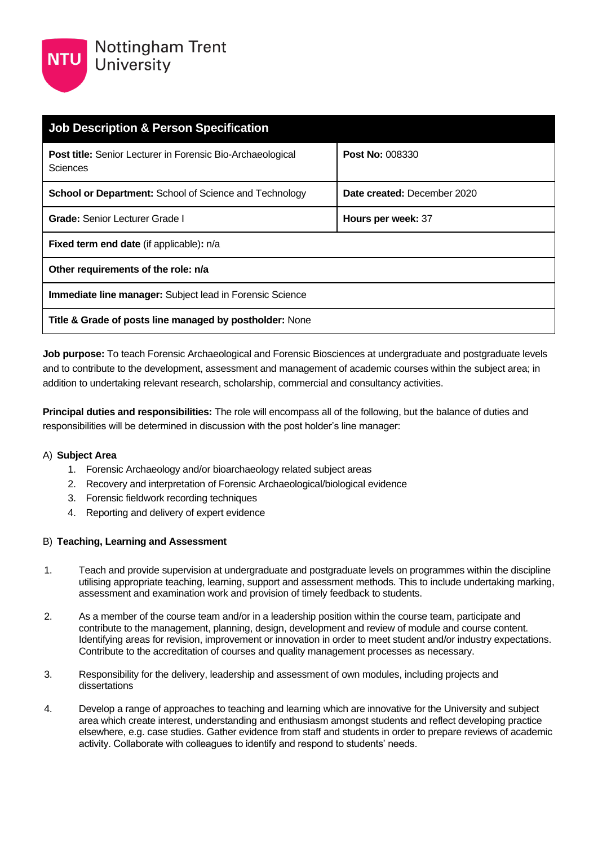

| <b>Job Description &amp; Person Specification</b>                             |                             |  |
|-------------------------------------------------------------------------------|-----------------------------|--|
| <b>Post title:</b> Senior Lecturer in Forensic Bio-Archaeological<br>Sciences | <b>Post No: 008330</b>      |  |
| <b>School or Department:</b> School of Science and Technology                 | Date created: December 2020 |  |
| <b>Grade: Senior Lecturer Grade I</b>                                         | Hours per week: 37          |  |
| Fixed term end date (if applicable): n/a                                      |                             |  |
| Other requirements of the role: n/a                                           |                             |  |
| Immediate line manager: Subject lead in Forensic Science                      |                             |  |
| Title & Grade of posts line managed by postholder: None                       |                             |  |

**Job purpose:** To teach Forensic Archaeological and Forensic Biosciences at undergraduate and postgraduate levels and to contribute to the development, assessment and management of academic courses within the subject area; in addition to undertaking relevant research, scholarship, commercial and consultancy activities.

**Principal duties and responsibilities:** The role will encompass all of the following, but the balance of duties and responsibilities will be determined in discussion with the post holder's line manager:

#### A) **Subject Area**

- 1. Forensic Archaeology and/or bioarchaeology related subject areas
- 2. Recovery and interpretation of Forensic Archaeological/biological evidence
- 3. Forensic fieldwork recording techniques
- 4. Reporting and delivery of expert evidence

#### B) **Teaching, Learning and Assessment**

- 1. Teach and provide supervision at undergraduate and postgraduate levels on programmes within the discipline utilising appropriate teaching, learning, support and assessment methods. This to include undertaking marking, assessment and examination work and provision of timely feedback to students.
- 2. As a member of the course team and/or in a leadership position within the course team, participate and contribute to the management, planning, design, development and review of module and course content. Identifying areas for revision, improvement or innovation in order to meet student and/or industry expectations. Contribute to the accreditation of courses and quality management processes as necessary.
- 3. Responsibility for the delivery, leadership and assessment of own modules, including projects and dissertations
- 4. Develop a range of approaches to teaching and learning which are innovative for the University and subject area which create interest, understanding and enthusiasm amongst students and reflect developing practice elsewhere, e.g. case studies. Gather evidence from staff and students in order to prepare reviews of academic activity. Collaborate with colleagues to identify and respond to students' needs.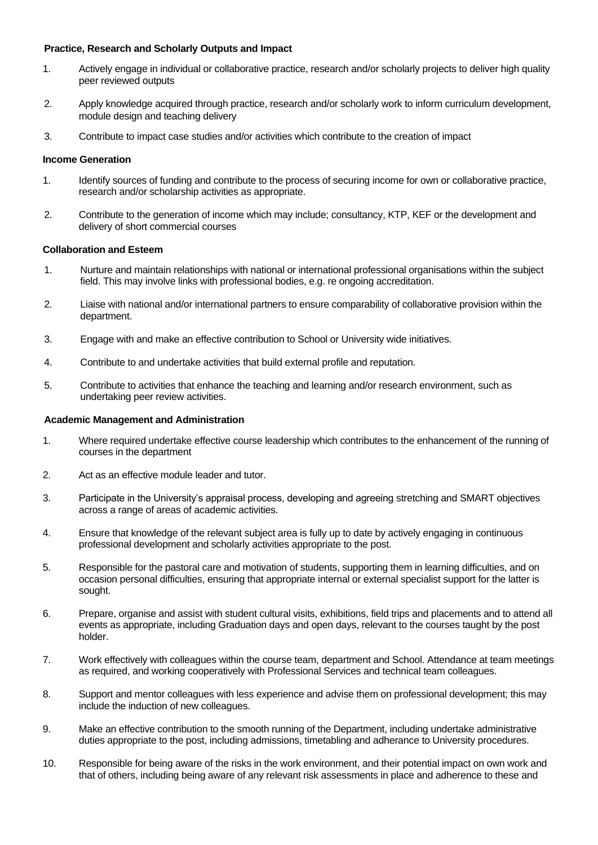#### **Practice, Research and Scholarly Outputs and Impact**

- 1. Actively engage in individual or collaborative practice, research and/or scholarly projects to deliver high quality peer reviewed outputs
- 2. Apply knowledge acquired through practice, research and/or scholarly work to inform curriculum development, module design and teaching delivery
- 3. Contribute to impact case studies and/or activities which contribute to the creation of impact

#### **Income Generation**

- 1. Identify sources of funding and contribute to the process of securing income for own or collaborative practice, research and/or scholarship activities as appropriate.
- 2. Contribute to the generation of income which may include; consultancy, KTP, KEF or the development and delivery of short commercial courses

#### **Collaboration and Esteem**

- 1. Nurture and maintain relationships with national or international professional organisations within the subject field. This may involve links with professional bodies, e.g. re ongoing accreditation.
- 2. Liaise with national and/or international partners to ensure comparability of collaborative provision within the department.
- 3. Engage with and make an effective contribution to School or University wide initiatives.
- 4. Contribute to and undertake activities that build external profile and reputation.
- 5. Contribute to activities that enhance the teaching and learning and/or research environment, such as undertaking peer review activities.

#### **Academic Management and Administration**

- 1. Where required undertake effective course leadership which contributes to the enhancement of the running of courses in the department
- 2. Act as an effective module leader and tutor.
- 3. Participate in the University's appraisal process, developing and agreeing stretching and SMART objectives across a range of areas of academic activities.
- 4. Ensure that knowledge of the relevant subject area is fully up to date by actively engaging in continuous professional development and scholarly activities appropriate to the post.
- 5. Responsible for the pastoral care and motivation of students, supporting them in learning difficulties, and on occasion personal difficulties, ensuring that appropriate internal or external specialist support for the latter is sought.
- 6. Prepare, organise and assist with student cultural visits, exhibitions, field trips and placements and to attend all events as appropriate, including Graduation days and open days, relevant to the courses taught by the post holder.
- 7. Work effectively with colleagues within the course team, department and School. Attendance at team meetings as required, and working cooperatively with Professional Services and technical team colleagues.
- 8. Support and mentor colleagues with less experience and advise them on professional development; this may include the induction of new colleagues.
- 9. Make an effective contribution to the smooth running of the Department, including undertake administrative duties appropriate to the post, including admissions, timetabling and adherance to University procedures.
- 10. Responsible for being aware of the risks in the work environment, and their potential impact on own work and that of others, including being aware of any relevant risk assessments in place and adherence to these and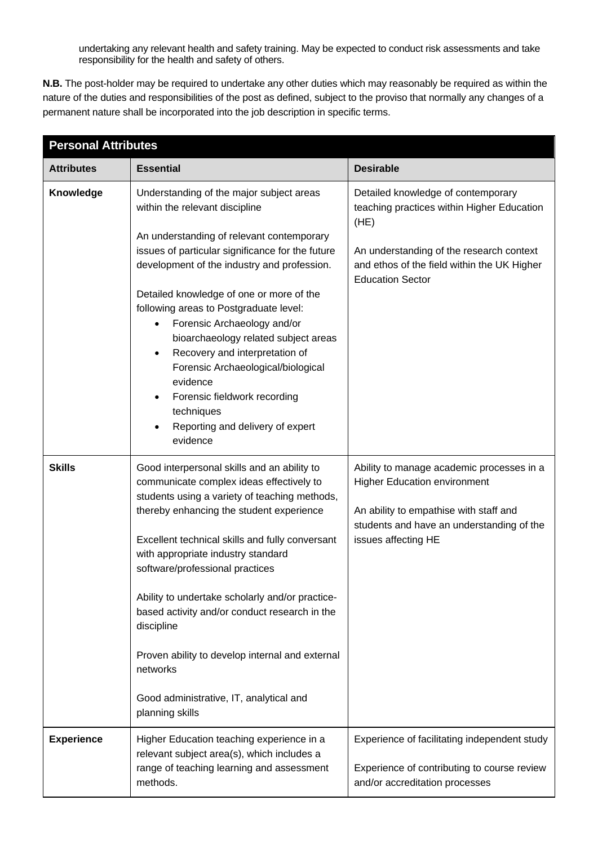undertaking any relevant health and safety training. May be expected to conduct risk assessments and take responsibility for the health and safety of others.

**N.B.** The post-holder may be required to undertake any other duties which may reasonably be required as within the nature of the duties and responsibilities of the post as defined, subject to the proviso that normally any changes of a permanent nature shall be incorporated into the job description in specific terms.

| <b>Personal Attributes</b> |                                                                                                                                                                                                                                                                                                                                                                                                                                                                                                                                              |                                                                                                                                                                                                                |  |
|----------------------------|----------------------------------------------------------------------------------------------------------------------------------------------------------------------------------------------------------------------------------------------------------------------------------------------------------------------------------------------------------------------------------------------------------------------------------------------------------------------------------------------------------------------------------------------|----------------------------------------------------------------------------------------------------------------------------------------------------------------------------------------------------------------|--|
| <b>Attributes</b>          | <b>Essential</b>                                                                                                                                                                                                                                                                                                                                                                                                                                                                                                                             | <b>Desirable</b>                                                                                                                                                                                               |  |
| Knowledge                  | Understanding of the major subject areas<br>within the relevant discipline<br>An understanding of relevant contemporary<br>issues of particular significance for the future<br>development of the industry and profession.<br>Detailed knowledge of one or more of the<br>following areas to Postgraduate level:<br>Forensic Archaeology and/or<br>$\bullet$<br>bioarchaeology related subject areas                                                                                                                                         | Detailed knowledge of contemporary<br>teaching practices within Higher Education<br>(HE)<br>An understanding of the research context<br>and ethos of the field within the UK Higher<br><b>Education Sector</b> |  |
|                            | Recovery and interpretation of<br>Forensic Archaeological/biological<br>evidence<br>Forensic fieldwork recording<br>techniques<br>Reporting and delivery of expert<br>evidence                                                                                                                                                                                                                                                                                                                                                               |                                                                                                                                                                                                                |  |
| <b>Skills</b>              | Good interpersonal skills and an ability to<br>communicate complex ideas effectively to<br>students using a variety of teaching methods,<br>thereby enhancing the student experience<br>Excellent technical skills and fully conversant<br>with appropriate industry standard<br>software/professional practices<br>Ability to undertake scholarly and/or practice-<br>based activity and/or conduct research in the<br>discipline<br>Proven ability to develop internal and external<br>networks<br>Good administrative, IT, analytical and | Ability to manage academic processes in a<br><b>Higher Education environment</b><br>An ability to empathise with staff and<br>students and have an understanding of the<br>issues affecting HE                 |  |
|                            | planning skills                                                                                                                                                                                                                                                                                                                                                                                                                                                                                                                              |                                                                                                                                                                                                                |  |
| <b>Experience</b>          | Higher Education teaching experience in a<br>relevant subject area(s), which includes a<br>range of teaching learning and assessment<br>methods.                                                                                                                                                                                                                                                                                                                                                                                             | Experience of facilitating independent study<br>Experience of contributing to course review<br>and/or accreditation processes                                                                                  |  |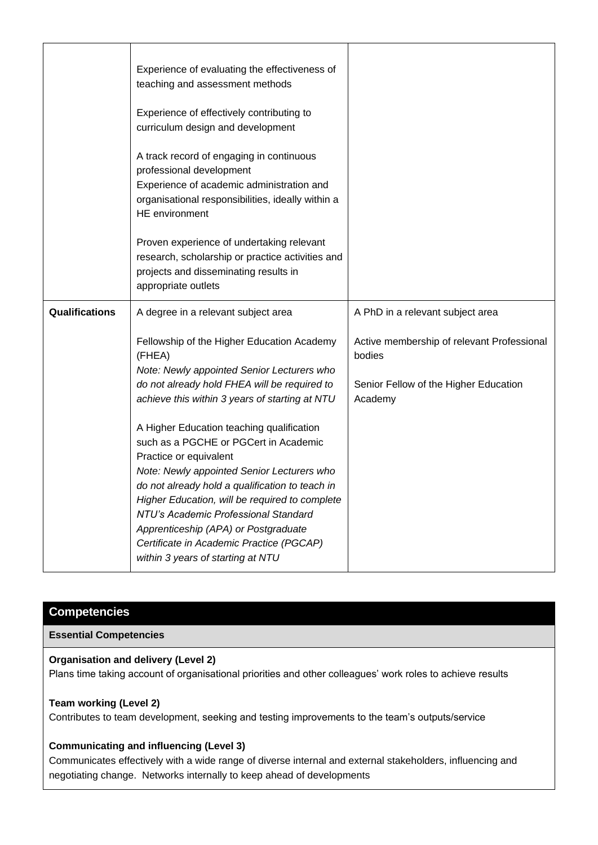|                       | Experience of evaluating the effectiveness of<br>teaching and assessment methods                                                                                                                                                                                                                                                                                                                                                                                                   |                                                                                               |
|-----------------------|------------------------------------------------------------------------------------------------------------------------------------------------------------------------------------------------------------------------------------------------------------------------------------------------------------------------------------------------------------------------------------------------------------------------------------------------------------------------------------|-----------------------------------------------------------------------------------------------|
|                       | Experience of effectively contributing to<br>curriculum design and development                                                                                                                                                                                                                                                                                                                                                                                                     |                                                                                               |
|                       | A track record of engaging in continuous<br>professional development<br>Experience of academic administration and<br>organisational responsibilities, ideally within a<br>HE environment                                                                                                                                                                                                                                                                                           |                                                                                               |
|                       | Proven experience of undertaking relevant<br>research, scholarship or practice activities and<br>projects and disseminating results in<br>appropriate outlets                                                                                                                                                                                                                                                                                                                      |                                                                                               |
| <b>Qualifications</b> | A degree in a relevant subject area                                                                                                                                                                                                                                                                                                                                                                                                                                                | A PhD in a relevant subject area                                                              |
|                       | Fellowship of the Higher Education Academy<br>(FHEA)<br>Note: Newly appointed Senior Lecturers who<br>do not already hold FHEA will be required to                                                                                                                                                                                                                                                                                                                                 | Active membership of relevant Professional<br>bodies<br>Senior Fellow of the Higher Education |
|                       | achieve this within 3 years of starting at NTU<br>A Higher Education teaching qualification<br>such as a PGCHE or PGCert in Academic<br>Practice or equivalent<br>Note: Newly appointed Senior Lecturers who<br>do not already hold a qualification to teach in<br>Higher Education, will be required to complete<br>NTU's Academic Professional Standard<br>Apprenticeship (APA) or Postgraduate<br>Certificate in Academic Practice (PGCAP)<br>within 3 years of starting at NTU | Academy                                                                                       |

# **Competencies**

#### **Essential Competencies**

## **Organisation and delivery (Level 2)**

Plans time taking account of organisational priorities and other colleagues' work roles to achieve results

#### **Team working (Level 2)**

Contributes to team development, seeking and testing improvements to the team's outputs/service

## **Communicating and influencing (Level 3)**

Communicates effectively with a wide range of diverse internal and external stakeholders, influencing and negotiating change. Networks internally to keep ahead of developments